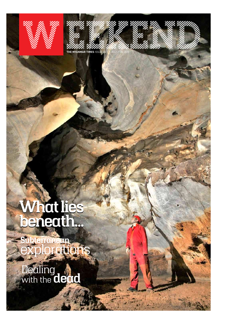



# **What lies beneath... What lies beneath...**

**Subterranean** explorations

**Dealing** with the **dead**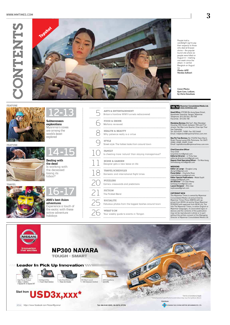## WWW.MMTIMES.COM





People hold a candlelight vigil to pay their respects to those who died at Erawan shrine – the popular tourist site where 20 people were killed on August 17 – marking one week since the attack in central Bangkok on August  $24.$ 

**Photo: AFP/ Nicolas Asfouri** 

**Cover Photo: Kyet Cave, Loikaw, by Chris Densham**

### FEATURE



FEATURE







**Subterranean explorations** Myanmar's caves are among the world's least-

12-13

**Dealing with the dead** Is working with the deceased losing its taboo?

**2015's best Asian adventures** Experience a touch of the exotic with these active adventure 16-17

holidays



Britain's frontline WWII tunnels rediscovered

health & beauty Why patience really is a virtue

Street style: The hottest looks from around town

Is cheating more 'natural' than staying monogamous?

18 TRAVEL SCHEDULES Domestic and international flight times

## **MCM** Myanmar Consolidated Media Ltd.

**Head Office:** 379/383 Bo Aung Kyaw Street,<br>Kyauktada Township, Yangon, Myanmar.<br>Telephone: (01) 253 642, 392 928 Facsimile: (01) 254 158

**Mandalay Bureau:** Bld Sa/1, Man Mandalar<br>Housing, 35th Street, between 70th and 71st<br>streets, Yan Myo Lone Quarter, Chan Aye Thar San Township. Tel: (02) 65391, 74585. Fax: (02) 24460 Email: mdybranch@myanmartimes.com.mm

**Nay Pyi Taw Bureau:** No (15/496) Yaza Htarni Road, Paung Laung (2)Q, Pyinmana. Tel: (067) 25982, 25983, 25309, 21426 Email: capitalbureau@myanmartimes.com.mm

**Chief Executive Officer**

Tony Child<br>**Editorial.Director** – U Thiha Saw<br>editorial.director.mcm@gmail.com<br>**Deputy Chief Operating Office**r – Tin Moe Aung<br>tinmoeaung.mcm@gmail.com<br>tinmoeaung.mcm@gmail.com

**WEEKEND Editor-at-Large** – Douglas Long dlong125@gmail.com **Pulse Editor** – Charlotte Rose charlottelola.rose@gmail.com **Editor Special Publications** – Wade Guyitt wadeguyitt@gmail.com<br>**Art Director** – Tin Zaw Htway<br>kohtway.mcm@gmail.com<br>**Layout Designer** – Khin Zaw<br>kophoaww@gmail.com

COPYRIGHT MCM<br>The Myanmar Times is owned by Myanmar<br>The Myanmar Times Press (100876) with ap-<br>Myanmar Times Press (100876) with ap-<br>proval from MCM Ltd and by Shwe Myanmar<br>[P/00302] with approval from MCM Ltd. The<br>title Th

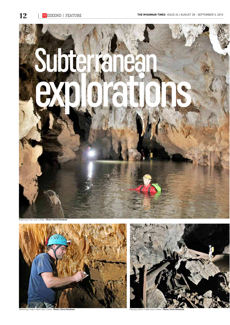

Exploring a river cave, Loikaw. **Photo: Chris Densham**



Sketching a map in Kyet Cave, Loikaw. **Photo: Chris Densham** Passing coffins in Kyet Cave, Loikaw. **Photo: Chris Densham**